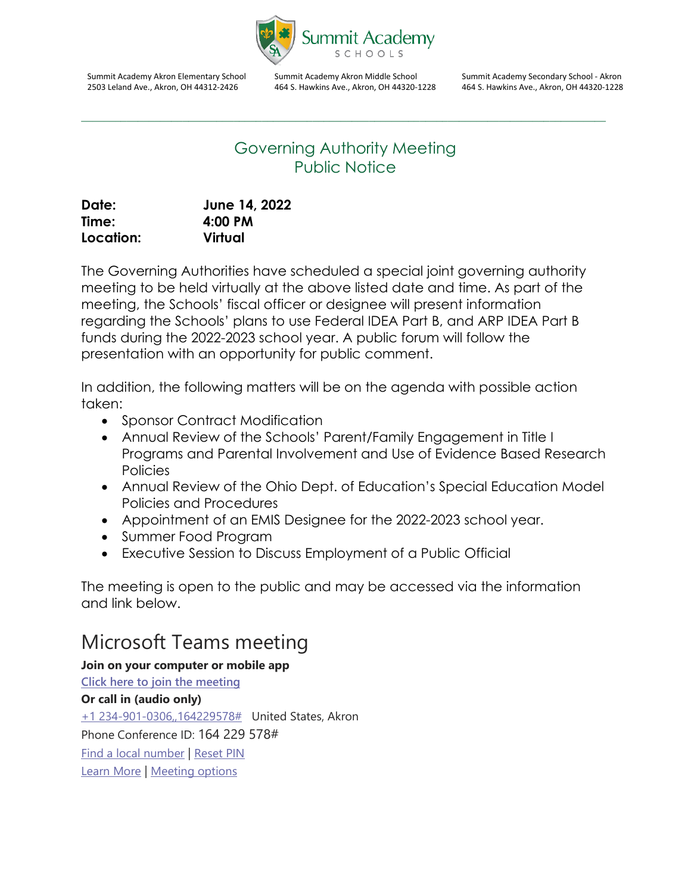

Summit Academy Akron Elementary School 2503 Leland Ave., Akron, OH 44312-2426

Summit Academy Akron Middle School 464 S. Hawkins Ave., Akron, OH 44320-1228 Summit Academy Secondary School - Akron 464 S. Hawkins Ave., Akron, OH 44320-1228

## Governing Authority Meeting Public Notice

\_\_\_\_\_\_\_\_\_\_\_\_\_\_\_\_\_\_\_\_\_\_\_\_\_\_\_\_\_\_\_\_\_\_\_\_\_\_\_\_\_\_\_\_\_\_\_\_\_\_\_\_\_\_\_\_\_\_\_\_\_\_\_\_\_\_\_\_\_\_\_\_\_\_\_\_\_\_\_\_\_\_\_\_\_\_\_\_\_\_\_\_\_

| Date:     | June 14, 2022 |
|-----------|---------------|
| Time:     | 4:00 PM       |
| Location: | Virtual       |

The Governing Authorities have scheduled a special joint governing authority meeting to be held virtually at the above listed date and time. As part of the meeting, the Schools' fiscal officer or designee will present information regarding the Schools' plans to use Federal IDEA Part B, and ARP IDEA Part B funds during the 2022-2023 school year. A public forum will follow the presentation with an opportunity for public comment.

In addition, the following matters will be on the agenda with possible action taken:

- Sponsor Contract Modification
- Annual Review of the Schools' Parent/Family Engagement in Title I Programs and Parental Involvement and Use of Evidence Based Research **Policies**
- Annual Review of the Ohio Dept. of Education's Special Education Model Policies and Procedures
- Appointment of an EMIS Designee for the 2022-2023 school year.
- Summer Food Program
- Executive Session to Discuss Employment of a Public Official

The meeting is open to the public and may be accessed via the information and link below.

## Microsoft Teams meeting

**Join on your computer or mobile app [Click here to join the meeting](https://teams.microsoft.com/l/meetup-join/19%3ameeting_MWQyOGQ3NjMtMDc3ZS00OWFmLTkyZGUtZGZlY2NhNjExYzJl%40thread.v2/0?context=%7b%22Tid%22%3a%22220df1cd-2323-40dc-9e4d-e6e36116b4b1%22%2c%22Oid%22%3a%2246e64e45-bebe-44c5-88c7-8213b574b387%22%7d) Or call in (audio only)** [+1 234-901-0306,,164229578#](tel:+12349010306,,164229578#%20) United States, Akron Phone Conference ID: 164 229 578# [Find a local number](https://dialin.teams.microsoft.com/32a751c0-64a4-4e2e-a79a-28a94b50c213?id=164229578) | [Reset PIN](https://dialin.teams.microsoft.com/usp/pstnconferencing) [Learn More](https://aka.ms/JoinTeamsMeeting) | [Meeting options](https://teams.microsoft.com/meetingOptions/?organizerId=46e64e45-bebe-44c5-88c7-8213b574b387&tenantId=220df1cd-2323-40dc-9e4d-e6e36116b4b1&threadId=19_meeting_MWQyOGQ3NjMtMDc3ZS00OWFmLTkyZGUtZGZlY2NhNjExYzJl@thread.v2&messageId=0&language=en-US)